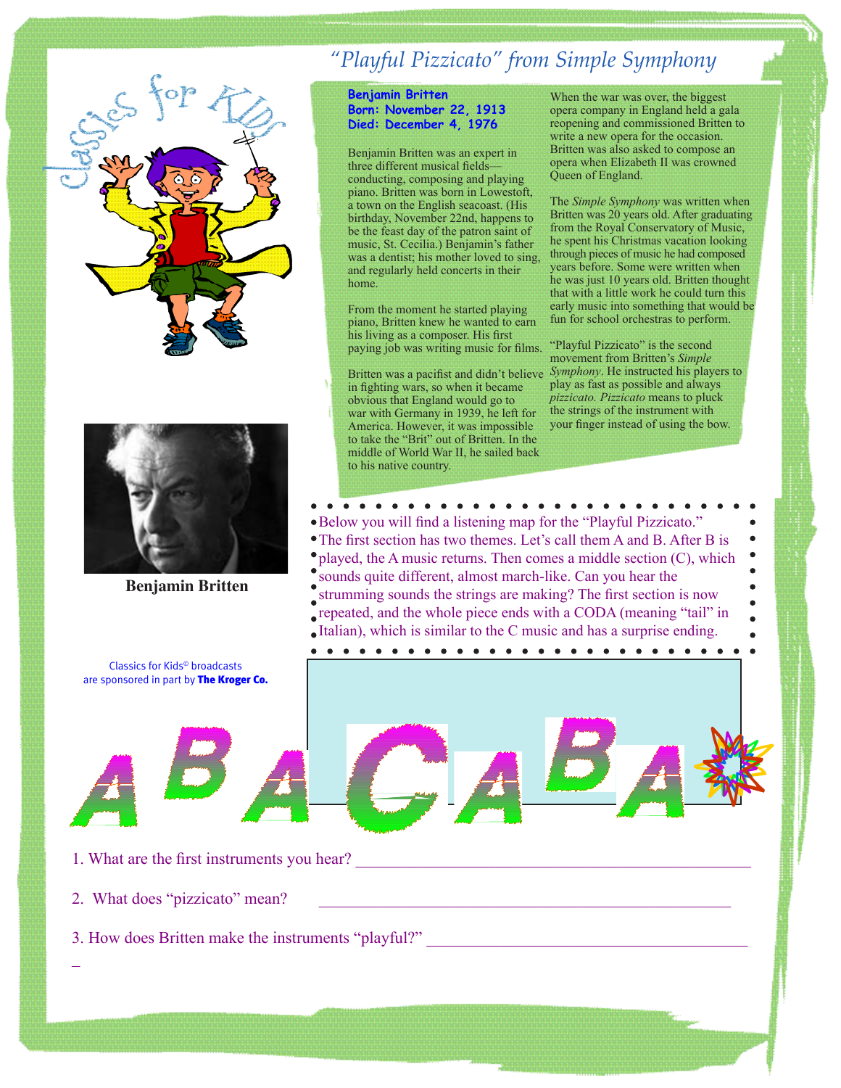